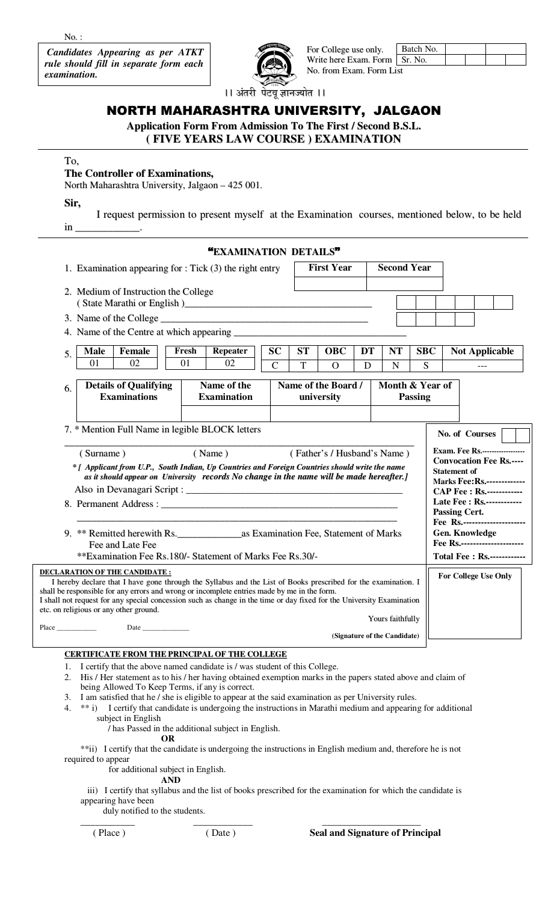$No.$ :

**Candidates Appearing as per ATKT** rule should fill in separate form each examination.



For College use only. Batch No. Sr. No. Write here Exam. Form No. from Exam. Form List

।। अंतरी पेटवू ज्ञानज्योत ।।

## NORTH MAHARASHTRA UNIVERSITY, JALGAON

Application Form From Admission To The First / Second B.S.L.

(FIVE YEARS LAW COURSE) EXAMINATION

## To,

## The Controller of Examinations,

North Maharashtra University, Jalgaon – 425 001.

Sir,

I request permission to present myself at the Examination courses, mentioned below, to be held in

|                                                             |                                                                                                                                                                                                                                                                                                                                                                                                                                        | "EXAMINATION DETAILS"             |                          |                   |                                   |                    |                                                  |                 |                     |                                                                                                                                                                             |  |
|-------------------------------------------------------------|----------------------------------------------------------------------------------------------------------------------------------------------------------------------------------------------------------------------------------------------------------------------------------------------------------------------------------------------------------------------------------------------------------------------------------------|-----------------------------------|--------------------------|-------------------|-----------------------------------|--------------------|--------------------------------------------------|-----------------|---------------------|-----------------------------------------------------------------------------------------------------------------------------------------------------------------------------|--|
| 1. Examination appearing for $:$ Tick $(3)$ the right entry |                                                                                                                                                                                                                                                                                                                                                                                                                                        |                                   |                          | <b>First Year</b> |                                   | <b>Second Year</b> |                                                  |                 |                     |                                                                                                                                                                             |  |
|                                                             | 2. Medium of Instruction the College                                                                                                                                                                                                                                                                                                                                                                                                   |                                   |                          |                   |                                   |                    |                                                  |                 |                     |                                                                                                                                                                             |  |
|                                                             |                                                                                                                                                                                                                                                                                                                                                                                                                                        |                                   |                          |                   |                                   |                    |                                                  |                 |                     |                                                                                                                                                                             |  |
|                                                             |                                                                                                                                                                                                                                                                                                                                                                                                                                        |                                   |                          |                   |                                   |                    |                                                  |                 |                     |                                                                                                                                                                             |  |
| 5.                                                          | <b>Male</b><br><b>Female</b><br>01<br>02                                                                                                                                                                                                                                                                                                                                                                                               | Repeater<br>Fresh<br>01<br>02     | <b>SC</b><br>$\mathbf C$ | <b>ST</b><br>T    | <b>OBC</b><br>$\overline{O}$      | DT<br>D            | <b>NT</b><br>$\mathbf N$                         | <b>SBC</b><br>S |                     | <b>Not Applicable</b><br>---                                                                                                                                                |  |
| 6.                                                          | <b>Details of Qualifying</b><br><b>Examinations</b>                                                                                                                                                                                                                                                                                                                                                                                    | Name of the<br><b>Examination</b> |                          |                   | Name of the Board /<br>university |                    | Month & Year of                                  | <b>Passing</b>  |                     |                                                                                                                                                                             |  |
|                                                             | 7. * Mention Full Name in legible BLOCK letters<br>(Surname)<br>* [ Applicant from U.P., South Indian, Up Countries and Foreign Countries should write the name<br>as it should appear on University records No change in the name will be made hereafter.]                                                                                                                                                                            | (Name)                            |                          |                   | (Father's / Husband's Name)       |                    |                                                  |                 | <b>Statement of</b> | No. of Courses<br><b>Exam. Fee Rs.-----------------</b><br><b>Convocation Fee Rs.----</b><br><b>Marks Fee: Rs.-------------</b><br><b>CAP Fee: Rs.------------</b>          |  |
|                                                             | Fee and Late Fee<br>**Examination Fee Rs.180/- Statement of Marks Fee Rs.30/-                                                                                                                                                                                                                                                                                                                                                          |                                   |                          |                   |                                   |                    |                                                  |                 |                     | Late Fee : Rs.------------<br><b>Passing Cert.</b><br>Fee Rs.----------------------<br>Gen. Knowledge<br>Fee Rs.----------------------<br><b>Total Fee: Rs.------------</b> |  |
|                                                             | <b>DECLARATION OF THE CANDIDATE:</b><br>I hereby declare that I have gone through the Syllabus and the List of Books prescribed for the examination. I<br>shall be responsible for any errors and wrong or incomplete entries made by me in the form.<br>I shall not request for any special concession such as change in the time or day fixed for the University Examination<br>etc. on religious or any other ground.<br>$Place \_$ |                                   |                          |                   |                                   |                    | Yours faithfully<br>(Signature of the Candidate) |                 |                     | <b>For College Use Only</b>                                                                                                                                                 |  |
|                                                             | <b>CERTIFICATE FROM THE PRINCIPAL OF THE COLLEGE</b>                                                                                                                                                                                                                                                                                                                                                                                   |                                   |                          |                   |                                   |                    |                                                  |                 |                     |                                                                                                                                                                             |  |

- I certify that the above named candidate is / was student of this College.  $1.$
- $2.$ His / Her statement as to his / her having obtained exemption marks in the papers stated above and claim of being Allowed To Keep Terms, if any is correct.
- 3. I am satisfied that he / she is eligible to appear at the said examination as per University rules.
- $4.$ \*\* i) I certify that candidate is undergoing the instructions in Marathi medium and appearing for additional subject in English

/ has Passed in the additional subject in English.

OR

\*\*ii) I certify that the candidate is undergoing the instructions in English medium and, therefore he is not required to appear

for additional subject in English.

## **AND**

iii) I certify that syllabus and the list of books prescribed for the examination for which the candidate is appearing have been

duly notified to the students.